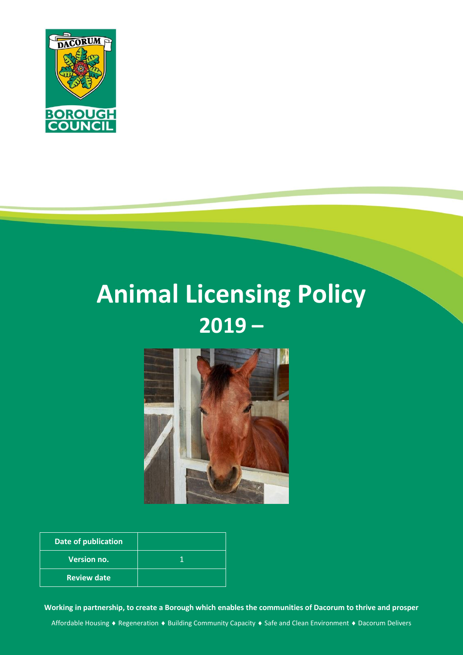

# **Animal Licensing Policy 2019 –**



| <b>Date of publication</b> |  |
|----------------------------|--|
| <b>Version no.</b>         |  |
| <b>Review date</b>         |  |

**Working in partnership, to create a Borough which enables the communities of Dacorum to thrive and prosper**

Affordable Housing • Regeneration • Building Community Capacity • Safe and Clean Environment • Dacorum Delivers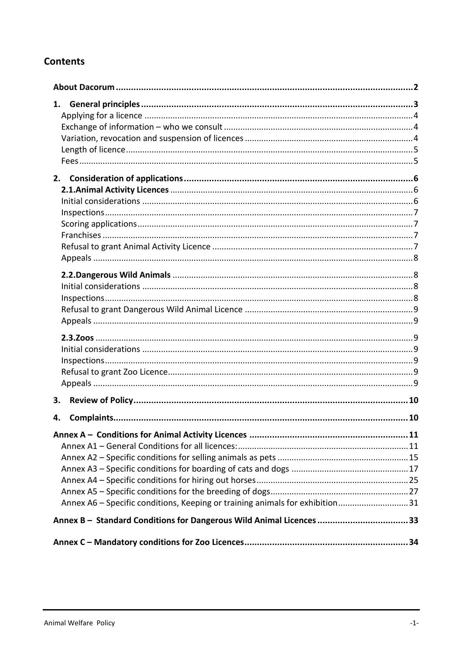# **Contents**

| 1.                                                                           |  |
|------------------------------------------------------------------------------|--|
|                                                                              |  |
|                                                                              |  |
|                                                                              |  |
|                                                                              |  |
|                                                                              |  |
|                                                                              |  |
|                                                                              |  |
|                                                                              |  |
|                                                                              |  |
|                                                                              |  |
|                                                                              |  |
|                                                                              |  |
|                                                                              |  |
|                                                                              |  |
|                                                                              |  |
|                                                                              |  |
|                                                                              |  |
|                                                                              |  |
| 3.                                                                           |  |
| 4.                                                                           |  |
|                                                                              |  |
|                                                                              |  |
|                                                                              |  |
|                                                                              |  |
|                                                                              |  |
|                                                                              |  |
| Annex A6 - Specific conditions, Keeping or training animals for exhibition31 |  |
| Annex B - Standard Conditions for Dangerous Wild Animal Licences 33          |  |
|                                                                              |  |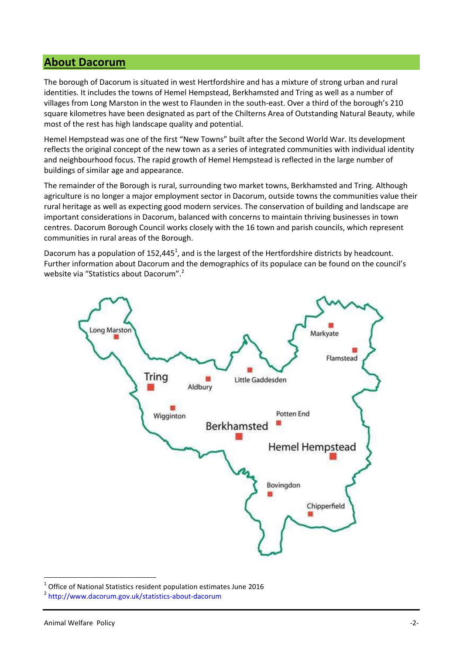# <span id="page-2-0"></span>**About Dacorum**

The borough of Dacorum is situated in west Hertfordshire and has a mixture of strong urban and rural identities. It includes the towns of Hemel Hempstead, Berkhamsted and Tring as well as a number of villages from Long Marston in the west to Flaunden in the south-east. Over a third of the borough's 210 square kilometres have been designated as part of the Chilterns Area of Outstanding Natural Beauty, while most of the rest has high landscape quality and potential.

Hemel Hempstead was one of the first "New Towns" built after the Second World War. Its development reflects the original concept of the new town as a series of integrated communities with individual identity and neighbourhood focus. The rapid growth of Hemel Hempstead is reflected in the large number of buildings of similar age and appearance.

The remainder of the Borough is rural, surrounding two market towns, Berkhamsted and Tring. Although agriculture is no longer a major employment sector in Dacorum, outside towns the communities value their rural heritage as well as expecting good modern services. The conservation of building and landscape are important considerations in Dacorum, balanced with concerns to maintain thriving businesses in town centres. Dacorum Borough Council works closely with the 16 town and parish councils, which represent communities in rural areas of the Borough.

Dacorum has a population of 152,445<sup>1</sup>, and is the largest of the Hertfordshire districts by headcount. Further information about Dacorum and the demographics of its populace can be found on the council's website via "Statistics about Dacorum".<sup>2</sup>



 $<sup>1</sup>$  [Office of National Statistics resident population estimates June 2016](http://neighbourhood.statistics.gov.uk/dissemination/LeadTableView.do?a=7&b=6275073&c=Dacorum&d=13&e=13&g=6433063&i=1001x1003x1004&m=0&p=1&r=1&s=1471951446047&enc=1&dsFamilyId=1818&nsjs=true&nsck=false&nssvg=false&nswid=1366)</sup>

 $\overline{a}$ 

<sup>2</sup> [http://www.dacorum.gov.uk/statistics-about-dacorum](http://www.dacorum.gov.uk/home%5Ccommunity-living/statistics-about-dacorum)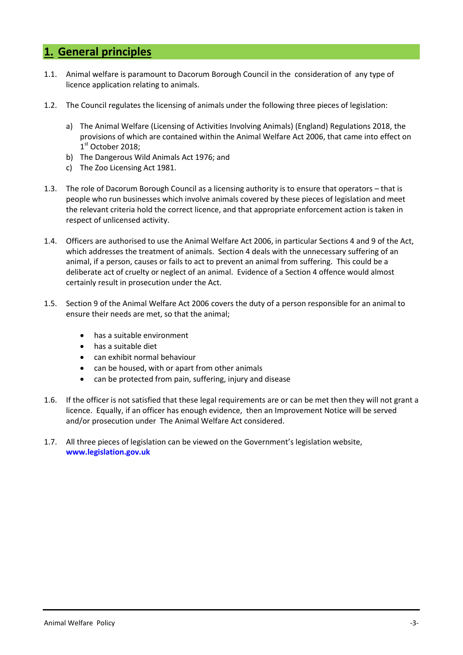# <span id="page-3-0"></span>**1. General principles**

- 1.1. Animal welfare is paramount to Dacorum Borough Council in the consideration of any type of licence application relating to animals.
- 1.2. The Council regulates the licensing of animals under the following three pieces of legislation:
	- a) The Animal Welfare (Licensing of Activities Involving Animals) (England) Regulations 2018, the provisions of which are contained within the Animal Welfare Act 2006, that came into effect on 1<sup>st</sup> October 2018;
	- b) The Dangerous Wild Animals Act 1976; and
	- c) The Zoo Licensing Act 1981.
- 1.3. The role of Dacorum Borough Council as a licensing authority is to ensure that operators that is people who run businesses which involve animals covered by these pieces of legislation and meet the relevant criteria hold the correct licence, and that appropriate enforcement action is taken in respect of unlicensed activity.
- 1.4. Officers are authorised to use the Animal Welfare Act 2006, in particular Sections 4 and 9 of the Act, which addresses the treatment of animals. Section 4 deals with the unnecessary suffering of an animal, if a person, causes or fails to act to prevent an animal from suffering. This could be a deliberate act of cruelty or neglect of an animal. Evidence of a Section 4 offence would almost certainly result in prosecution under the Act.
- 1.5. Section 9 of the Animal Welfare Act 2006 covers the duty of a person responsible for an animal to ensure their needs are met, so that the animal;
	- has a suitable environment
	- has a suitable diet
	- can exhibit normal behaviour
	- can be housed, with or apart from other animals
	- can be protected from pain, suffering, injury and disease
- 1.6. If the officer is not satisfied that these legal requirements are or can be met then they will not grant a licence. Equally, if an officer has enough evidence, then an Improvement Notice will be served and/or prosecution under The Animal Welfare Act considered.
- 1.7. All three pieces of legislation can be viewed on the Government's legislation website, **[www.legislation.gov.uk](http://www.legislation.gov.uk/)**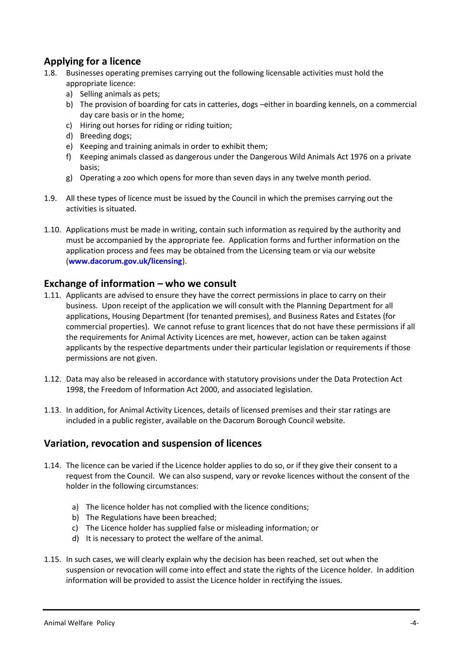# <span id="page-4-0"></span>**Applying for a licence**

- 1.8. Businesses operating premises carrying out the following licensable activities must hold the appropriate licence:
	- a) Selling animals as pets;
	- b) The provision of boarding for cats in catteries, dogs –either in boarding kennels, on a commercial day care basis or in the home;
	- c) Hiring out horses for riding or riding tuition;
	- d) Breeding dogs;
	- e) Keeping and training animals in order to exhibit them;
	- f) Keeping animals classed as dangerous under the Dangerous Wild Animals Act 1976 on a private basis;
	- g) Operating a zoo which opens for more than seven days in any twelve month period.
- 1.9. All these types of licence must be issued by the Council in which the premises carrying out the activities is situated.
- 1.10. Applications must be made in writing, contain such information as required by the authority and must be accompanied by the appropriate fee. Application forms and further information on the application process and fees may be obtained from the Licensing team or via our website (**[www.dacorum.gov.uk/licensing](http://www.dacorum.gov.uk/licensing)**).

# <span id="page-4-1"></span>**Exchange of information – who we consult**

- 1.11. Applicants are advised to ensure they have the correct permissions in place to carry on their business. Upon receipt of the application we will consult with the Planning Department for all applications, Housing Department (for tenanted premises), and Business Rates and Estates (for commercial properties). We cannot refuse to grant licences that do not have these permissions if all the requirements for Animal Activity Licences are met, however, action can be taken against applicants by the respective departments under their particular legislation or requirements if those permissions are not given.
- 1.12. Data may also be released in accordance with statutory provisions under the Data Protection Act 1998, the Freedom of Information Act 2000, and associated legislation.
- 1.13. In addition, for Animal Activity Licences, details of licensed premises and their star ratings are included in a public register, available on the Dacorum Borough Council website.

# <span id="page-4-2"></span>**Variation, revocation and suspension of licences**

- 1.14. The licence can be varied if the Licence holder applies to do so, or if they give their consent to a request from the Council. We can also suspend, vary or revoke licences without the consent of the holder in the following circumstances:
	- a) The licence holder has not complied with the licence conditions;
	- b) The Regulations have been breached;
	- c) The Licence holder has supplied false or misleading information; or
	- d) It is necessary to protect the welfare of the animal.
- 1.15. In such cases, we will clearly explain why the decision has been reached, set out when the suspension or revocation will come into effect and state the rights of the Licence holder. In addition information will be provided to assist the Licence holder in rectifying the issues.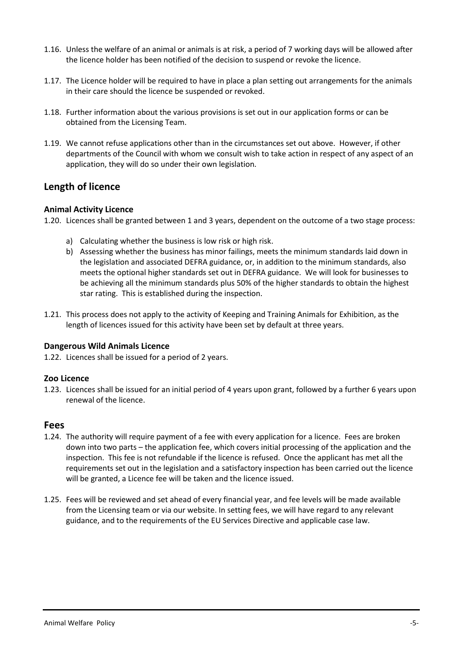- 1.16. Unless the welfare of an animal or animals is at risk, a period of 7 working days will be allowed after the licence holder has been notified of the decision to suspend or revoke the licence.
- 1.17. The Licence holder will be required to have in place a plan setting out arrangements for the animals in their care should the licence be suspended or revoked.
- 1.18. Further information about the various provisions is set out in our application forms or can be obtained from the Licensing Team.
- 1.19. We cannot refuse applications other than in the circumstances set out above. However, if other departments of the Council with whom we consult wish to take action in respect of any aspect of an application, they will do so under their own legislation.

# <span id="page-5-0"></span>**Length of licence**

#### **Animal Activity Licence**

1.20. Licences shall be granted between 1 and 3 years, dependent on the outcome of a two stage process:

- a) Calculating whether the business is low risk or high risk.
- b) Assessing whether the business has minor failings, meets the minimum standards laid down in the legislation and associated DEFRA guidance, or, in addition to the minimum standards, also meets the optional higher standards set out in DEFRA guidance. We will look for businesses to be achieving all the minimum standards plus 50% of the higher standards to obtain the highest star rating. This is established during the inspection.
- 1.21. This process does not apply to the activity of Keeping and Training Animals for Exhibition, as the length of licences issued for this activity have been set by default at three years.

#### **Dangerous Wild Animals Licence**

1.22. Licences shall be issued for a period of 2 years.

## **Zoo Licence**

1.23. Licences shall be issued for an initial period of 4 years upon grant, followed by a further 6 years upon renewal of the licence.

## <span id="page-5-1"></span>**Fees**

- 1.24. The authority will require payment of a fee with every application for a licence. Fees are broken down into two parts – the application fee, which covers initial processing of the application and the inspection. This fee is not refundable if the licence is refused. Once the applicant has met all the requirements set out in the legislation and a satisfactory inspection has been carried out the licence will be granted, a Licence fee will be taken and the licence issued.
- 1.25. Fees will be reviewed and set ahead of every financial year, and fee levels will be made available from the Licensing team or via our website. In setting fees, we will have regard to any relevant guidance, and to the requirements of the EU Services Directive and applicable case law.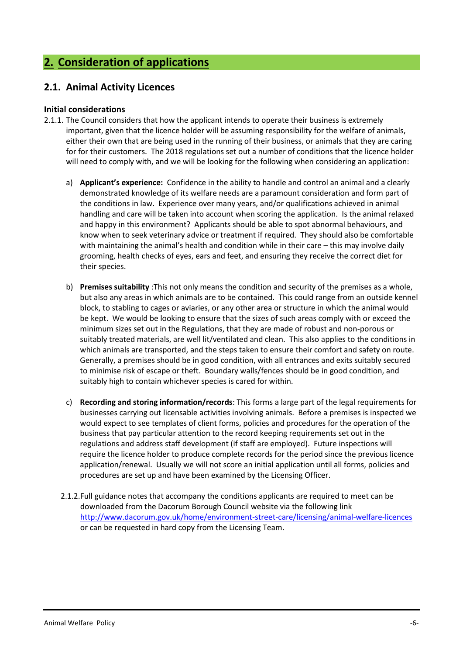# <span id="page-6-0"></span>**2. Consideration of applications**

# <span id="page-6-1"></span>**2.1. Animal Activity Licences**

#### <span id="page-6-2"></span>**Initial considerations**

- 2.1.1. The Council considers that how the applicant intends to operate their business is extremely important, given that the licence holder will be assuming responsibility for the welfare of animals, either their own that are being used in the running of their business, or animals that they are caring for for their customers. The 2018 regulations set out a number of conditions that the licence holder will need to comply with, and we will be looking for the following when considering an application:
	- a) **Applicant's experience:** Confidence in the ability to handle and control an animal and a clearly demonstrated knowledge of its welfare needs are a paramount consideration and form part of the conditions in law. Experience over many years, and/or qualifications achieved in animal handling and care will be taken into account when scoring the application. Is the animal relaxed and happy in this environment? Applicants should be able to spot abnormal behaviours, and know when to seek veterinary advice or treatment if required. They should also be comfortable with maintaining the animal's health and condition while in their care – this may involve daily grooming, health checks of eyes, ears and feet, and ensuring they receive the correct diet for their species.
	- b) **Premises suitability** :This not only means the condition and security of the premises as a whole, but also any areas in which animals are to be contained. This could range from an outside kennel block, to stabling to cages or aviaries, or any other area or structure in which the animal would be kept. We would be looking to ensure that the sizes of such areas comply with or exceed the minimum sizes set out in the Regulations, that they are made of robust and non-porous or suitably treated materials, are well lit/ventilated and clean. This also applies to the conditions in which animals are transported, and the steps taken to ensure their comfort and safety on route. Generally, a premises should be in good condition, with all entrances and exits suitably secured to minimise risk of escape or theft. Boundary walls/fences should be in good condition, and suitably high to contain whichever species is cared for within.
	- c) **Recording and storing information/records**: This forms a large part of the legal requirements for businesses carrying out licensable activities involving animals. Before a premises is inspected we would expect to see templates of client forms, policies and procedures for the operation of the business that pay particular attention to the record keeping requirements set out in the regulations and address staff development (if staff are employed). Future inspections will require the licence holder to produce complete records for the period since the previous licence application/renewal. Usually we will not score an initial application until all forms, policies and procedures are set up and have been examined by the Licensing Officer.
	- 2.1.2.Full guidance notes that accompany the conditions applicants are required to meet can be downloaded from the Dacorum Borough Council website via the following link <http://www.dacorum.gov.uk/home/environment-street-care/licensing/animal-welfare-licences> or can be requested in hard copy from the Licensing Team.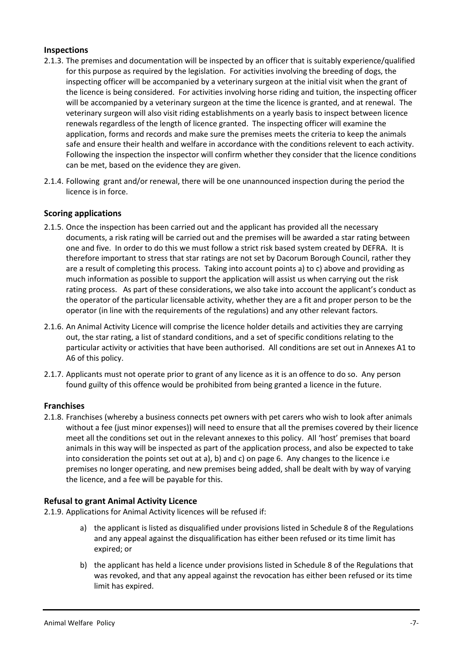## <span id="page-7-0"></span>**Inspections**

- 2.1.3. The premises and documentation will be inspected by an officer that is suitably experience/qualified for this purpose as required by the legislation. For activities involving the breeding of dogs, the inspecting officer will be accompanied by a veterinary surgeon at the initial visit when the grant of the licence is being considered. For activities involving horse riding and tuition, the inspecting officer will be accompanied by a veterinary surgeon at the time the licence is granted, and at renewal. The veterinary surgeon will also visit riding establishments on a yearly basis to inspect between licence renewals regardless of the length of licence granted. The inspecting officer will examine the application, forms and records and make sure the premises meets the criteria to keep the animals safe and ensure their health and welfare in accordance with the conditions relevent to each activity. Following the inspection the inspector will confirm whether they consider that the licence conditions can be met, based on the evidence they are given.
- 2.1.4. Following grant and/or renewal, there will be one unannounced inspection during the period the licence is in force.

## <span id="page-7-1"></span>**Scoring applications**

- 2.1.5. Once the inspection has been carried out and the applicant has provided all the necessary documents, a risk rating will be carried out and the premises will be awarded a star rating between one and five. In order to do this we must follow a strict risk based system created by DEFRA. It is therefore important to stress that star ratings are not set by Dacorum Borough Council, rather they are a result of completing this process. Taking into account points a) to c) above and providing as much information as possible to support the application will assist us when carrying out the risk rating process. As part of these considerations, we also take into account the applicant's conduct as the operator of the particular licensable activity, whether they are a fit and proper person to be the operator (in line with the requirements of the regulations) and any other relevant factors.
- 2.1.6. An Animal Activity Licence will comprise the licence holder details and activities they are carrying out, the star rating, a list of standard conditions, and a set of specific conditions relating to the particular activity or activities that have been authorised. All conditions are set out in Annexes A1 to A6 of this policy.
- 2.1.7. Applicants must not operate prior to grant of any licence as it is an offence to do so. Any person found guilty of this offence would be prohibited from being granted a licence in the future.

#### <span id="page-7-2"></span>**Franchises**

2.1.8. Franchises (whereby a business connects pet owners with pet carers who wish to look after animals without a fee (just minor expenses)) will need to ensure that all the premises covered by their licence meet all the conditions set out in the relevant annexes to this policy. All 'host' premises that board animals in this way will be inspected as part of the application process, and also be expected to take into consideration the points set out at a), b) and c) on page 6. Any changes to the licence i.e premises no longer operating, and new premises being added, shall be dealt with by way of varying the licence, and a fee will be payable for this.

## <span id="page-7-3"></span>**Refusal to grant Animal Activity Licence**

- 2.1.9. Applications for Animal Activity licences will be refused if:
	- a) the applicant is listed as disqualified under provisions listed in Schedule 8 of the Regulations and any appeal against the disqualification has either been refused or its time limit has expired; or
	- b) the applicant has held a licence under provisions listed in Schedule 8 of the Regulations that was revoked, and that any appeal against the revocation has either been refused or its time limit has expired.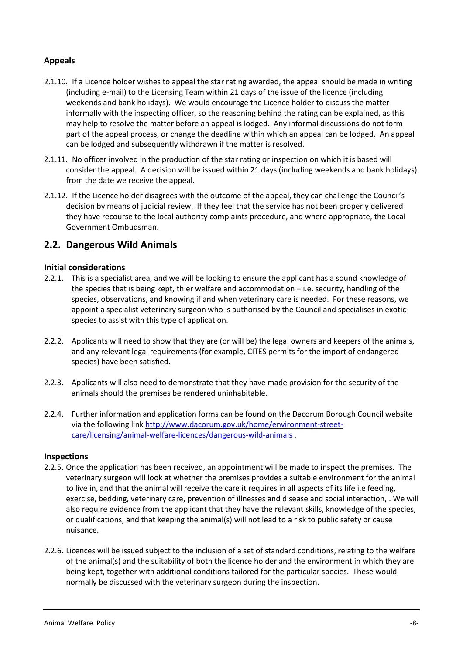## <span id="page-8-0"></span>**Appeals**

- 2.1.10. If a Licence holder wishes to appeal the star rating awarded, the appeal should be made in writing (including e-mail) to the Licensing Team within 21 days of the issue of the licence (including weekends and bank holidays). We would encourage the Licence holder to discuss the matter informally with the inspecting officer, so the reasoning behind the rating can be explained, as this may help to resolve the matter before an appeal is lodged. Any informal discussions do not form part of the appeal process, or change the deadline within which an appeal can be lodged. An appeal can be lodged and subsequently withdrawn if the matter is resolved.
- 2.1.11. No officer involved in the production of the star rating or inspection on which it is based will consider the appeal. A decision will be issued within 21 days (including weekends and bank holidays) from the date we receive the appeal.
- 2.1.12. If the Licence holder disagrees with the outcome of the appeal, they can challenge the Council's decision by means of judicial review. If they feel that the service has not been properly delivered they have recourse to the local authority complaints procedure, and where appropriate, the Local Government Ombudsman.

## <span id="page-8-1"></span>**2.2. Dangerous Wild Animals**

#### <span id="page-8-2"></span>**Initial considerations**

- 2.2.1. This is a specialist area, and we will be looking to ensure the applicant has a sound knowledge of the species that is being kept, thier welfare and accommodation – i.e. security, handling of the species, observations, and knowing if and when veterinary care is needed. For these reasons, we appoint a specialist veterinary surgeon who is authorised by the Council and specialises in exotic species to assist with this type of application.
- 2.2.2. Applicants will need to show that they are (or will be) the legal owners and keepers of the animals, and any relevant legal requirements (for example, CITES permits for the import of endangered species) have been satisfied.
- 2.2.3. Applicants will also need to demonstrate that they have made provision for the security of the animals should the premises be rendered uninhabitable.
- 2.2.4. Further information and application forms can be found on the Dacorum Borough Council website via the following link [http://www.dacorum.gov.uk/home/environment-street](http://www.dacorum.gov.uk/home/environment-street-care/licensing/animal-welfare-licences/dangerous-wild-animals)[care/licensing/animal-welfare-licences/dangerous-wild-animals](http://www.dacorum.gov.uk/home/environment-street-care/licensing/animal-welfare-licences/dangerous-wild-animals) .

#### <span id="page-8-3"></span>**Inspections**

- 2.2.5. Once the application has been received, an appointment will be made to inspect the premises. The veterinary surgeon will look at whether the premises provides a suitable environment for the animal to live in, and that the animal will receive the care it requires in all aspects of its life i.e feeding, exercise, bedding, veterinary care, prevention of illnesses and disease and social interaction, . We will also require evidence from the applicant that they have the relevant skills, knowledge of the species, or qualifications, and that keeping the animal(s) will not lead to a risk to public safety or cause nuisance.
- 2.2.6. Licences will be issued subject to the inclusion of a set of standard conditions, relating to the welfare of the animal(s) and the suitability of both the licence holder and the environment in which they are being kept, together with additional conditions tailored for the particular species. These would normally be discussed with the veterinary surgeon during the inspection.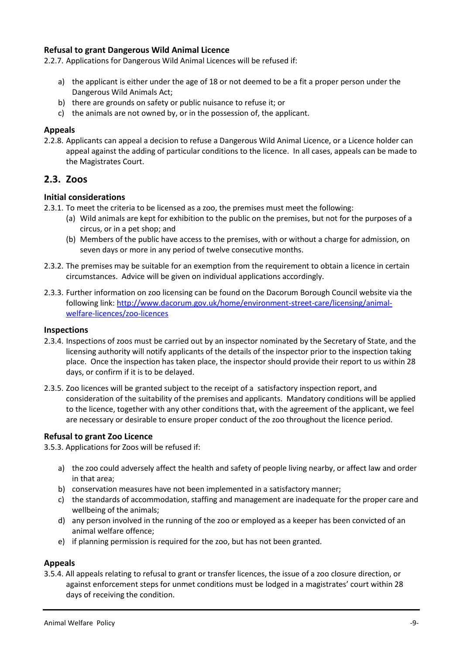## <span id="page-9-0"></span>**Refusal to grant Dangerous Wild Animal Licence**

2.2.7. Applications for Dangerous Wild Animal Licences will be refused if:

- a) the applicant is either under the age of 18 or not deemed to be a fit a proper person under the Dangerous Wild Animals Act;
- b) there are grounds on safety or public nuisance to refuse it; or
- c) the animals are not owned by, or in the possession of, the applicant.

### <span id="page-9-1"></span>**Appeals**

2.2.8. Applicants can appeal a decision to refuse a Dangerous Wild Animal Licence, or a Licence holder can appeal against the adding of particular conditions to the licence. In all cases, appeals can be made to the Magistrates Court.

## <span id="page-9-2"></span>**2.3. Zoos**

#### <span id="page-9-3"></span>**Initial considerations**

- 2.3.1. To meet the criteria to be licensed as a zoo, the premises must meet the following:
	- (a) Wild animals are kept for exhibition to the public on the premises, but not for the purposes of a circus, or in a pet shop; and
	- (b) Members of the public have access to the premises, with or without a charge for admission, on seven days or more in any period of twelve consecutive months.
- 2.3.2. The premises may be suitable for an exemption from the requirement to obtain a licence in certain circumstances. Advice will be given on individual applications accordingly.
- 2.3.3. Further information on zoo licensing can be found on the Dacorum Borough Council website via the following link: [http://www.dacorum.gov.uk/home/environment-street-care/licensing/animal](http://www.dacorum.gov.uk/home/environment-street-care/licensing/animal-welfare-licences/zoo-licences)[welfare-licences/zoo-licences](http://www.dacorum.gov.uk/home/environment-street-care/licensing/animal-welfare-licences/zoo-licences)

#### <span id="page-9-4"></span>**Inspections**

- 2.3.4. Inspections of zoos must be carried out by an inspector nominated by the Secretary of State, and the licensing authority will notify applicants of the details of the inspector prior to the inspection taking place. Once the inspection has taken place, the inspector should provide their report to us within 28 days, or confirm if it is to be delayed.
- 2.3.5. Zoo licences will be granted subject to the receipt of a satisfactory inspection report, and consideration of the suitability of the premises and applicants. Mandatory conditions will be applied to the licence, together with any other conditions that, with the agreement of the applicant, we feel are necessary or desirable to ensure proper conduct of the zoo throughout the licence period.

#### <span id="page-9-5"></span>**Refusal to grant Zoo Licence**

3.5.3. Applications for Zoos will be refused if:

- a) the zoo could adversely affect the health and safety of people living nearby, or affect law and order in that area;
- b) conservation measures have not been implemented in a satisfactory manner;
- c) the standards of accommodation, staffing and management are inadequate for the proper care and wellbeing of the animals;
- d) any person involved in the running of the zoo or employed as a keeper has been convicted of an animal welfare offence;
- e) if planning permission is required for the zoo, but has not been granted.

#### <span id="page-9-6"></span>**Appeals**

3.5.4. All appeals relating to refusal to grant or transfer licences, the issue of a zoo closure direction, or against enforcement steps for unmet conditions must be lodged in a magistrates' court within 28 days of receiving the condition.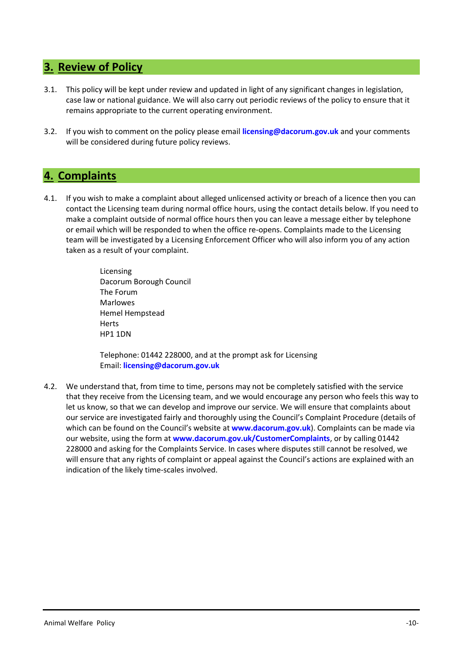# <span id="page-10-0"></span>**3. Review of Policy**

- 3.1. This policy will be kept under review and updated in light of any significant changes in legislation, case law or national guidance. We will also carry out periodic reviews of the policy to ensure that it remains appropriate to the current operating environment.
- 3.2. If you wish to comment on the policy please email **[licensing@dacorum.gov.uk](mailto:licensing@dacorum.gov.uk)** and your comments will be considered during future policy reviews.

# <span id="page-10-1"></span>**4. Complaints**

4.1. If you wish to make a complaint about alleged unlicensed activity or breach of a licence then you can contact the Licensing team during normal office hours, using the contact details below. If you need to make a complaint outside of normal office hours then you can leave a message either by telephone or email which will be responded to when the office re-opens. Complaints made to the Licensing team will be investigated by a Licensing Enforcement Officer who will also inform you of any action taken as a result of your complaint.

> Licensing Dacorum Borough Council The Forum Marlowes Hemel Hempstead Herts HP1 1DN

Telephone: 01442 228000, and at the prompt ask for Licensing Email: **[licensing@dacorum.gov.uk](mailto:licensing@dacorum.gov.uk)**

4.2. We understand that, from time to time, persons may not be completely satisfied with the service that they receive from the Licensing team, and we would encourage any person who feels this way to let us know, so that we can develop and improve our service. We will ensure that complaints about our service are investigated fairly and thoroughly using the Council's Complaint Procedure (details of which can be found on the Council's website at **[www.dacorum.gov.uk](http://www.dacorum.gov.uk/)**). Complaints can be made via our website, using the form at **[www.dacorum.gov.uk/CustomerComplaints](http://www.dacorum.gov.uk/CustomerComplaints)**, or by calling 01442 228000 and asking for the Complaints Service. In cases where disputes still cannot be resolved, we will ensure that any rights of complaint or appeal against the Council's actions are explained with an indication of the likely time-scales involved.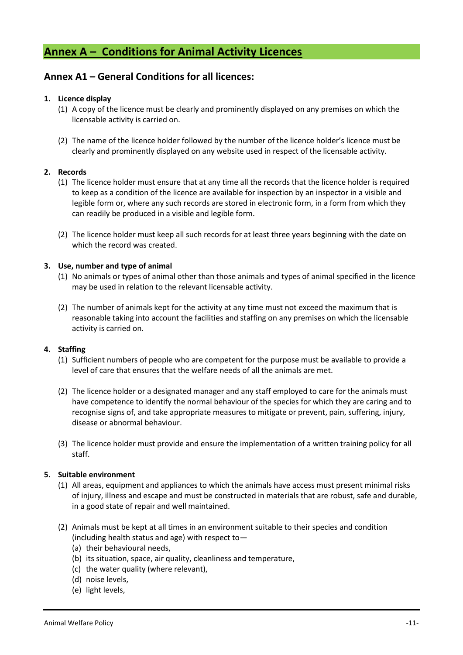# <span id="page-11-0"></span>**Annex A – Conditions for Animal Activity Licences**

# <span id="page-11-1"></span>**Annex A1 – General Conditions for all licences:**

#### **1. Licence display**

- (1) A copy of the licence must be clearly and prominently displayed on any premises on which the licensable activity is carried on.
- (2) The name of the licence holder followed by the number of the licence holder's licence must be clearly and prominently displayed on any website used in respect of the licensable activity.

#### **2. Records**

- (1) The licence holder must ensure that at any time all the records that the licence holder is required to keep as a condition of the licence are available for inspection by an inspector in a visible and legible form or, where any such records are stored in electronic form, in a form from which they can readily be produced in a visible and legible form.
- (2) The licence holder must keep all such records for at least three years beginning with the date on which the record was created.

#### **3. Use, number and type of animal**

- (1) No animals or types of animal other than those animals and types of animal specified in the licence may be used in relation to the relevant licensable activity.
- (2) The number of animals kept for the activity at any time must not exceed the maximum that is reasonable taking into account the facilities and staffing on any premises on which the licensable activity is carried on.

#### **4. Staffing**

- (1) Sufficient numbers of people who are competent for the purpose must be available to provide a level of care that ensures that the welfare needs of all the animals are met.
- (2) The licence holder or a designated manager and any staff employed to care for the animals must have competence to identify the normal behaviour of the species for which they are caring and to recognise signs of, and take appropriate measures to mitigate or prevent, pain, suffering, injury, disease or abnormal behaviour.
- (3) The licence holder must provide and ensure the implementation of a written training policy for all staff.

#### **5. Suitable environment**

- (1) All areas, equipment and appliances to which the animals have access must present minimal risks of injury, illness and escape and must be constructed in materials that are robust, safe and durable, in a good state of repair and well maintained.
- (2) Animals must be kept at all times in an environment suitable to their species and condition (including health status and age) with respect to—
	- (a) their behavioural needs,
	- (b) its situation, space, air quality, cleanliness and temperature,
	- (c) the water quality (where relevant),
	- (d) noise levels,
	- (e) light levels,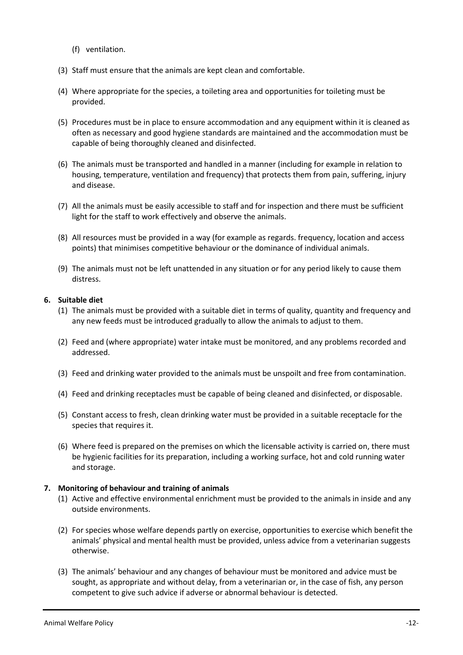- (f) ventilation.
- (3) Staff must ensure that the animals are kept clean and comfortable.
- (4) Where appropriate for the species, a toileting area and opportunities for toileting must be provided.
- (5) Procedures must be in place to ensure accommodation and any equipment within it is cleaned as often as necessary and good hygiene standards are maintained and the accommodation must be capable of being thoroughly cleaned and disinfected.
- (6) The animals must be transported and handled in a manner (including for example in relation to housing, temperature, ventilation and frequency) that protects them from pain, suffering, injury and disease.
- (7) All the animals must be easily accessible to staff and for inspection and there must be sufficient light for the staff to work effectively and observe the animals.
- (8) All resources must be provided in a way (for example as regards. frequency, location and access points) that minimises competitive behaviour or the dominance of individual animals.
- (9) The animals must not be left unattended in any situation or for any period likely to cause them distress.

#### **6. Suitable diet**

- (1) The animals must be provided with a suitable diet in terms of quality, quantity and frequency and any new feeds must be introduced gradually to allow the animals to adjust to them.
- (2) Feed and (where appropriate) water intake must be monitored, and any problems recorded and addressed.
- (3) Feed and drinking water provided to the animals must be unspoilt and free from contamination.
- (4) Feed and drinking receptacles must be capable of being cleaned and disinfected, or disposable.
- (5) Constant access to fresh, clean drinking water must be provided in a suitable receptacle for the species that requires it.
- (6) Where feed is prepared on the premises on which the licensable activity is carried on, there must be hygienic facilities for its preparation, including a working surface, hot and cold running water and storage.

#### **7. Monitoring of behaviour and training of animals**

- (1) Active and effective environmental enrichment must be provided to the animals in inside and any outside environments.
- (2) For species whose welfare depends partly on exercise, opportunities to exercise which benefit the animals' physical and mental health must be provided, unless advice from a veterinarian suggests otherwise.
- (3) The animals' behaviour and any changes of behaviour must be monitored and advice must be sought, as appropriate and without delay, from a veterinarian or, in the case of fish, any person competent to give such advice if adverse or abnormal behaviour is detected.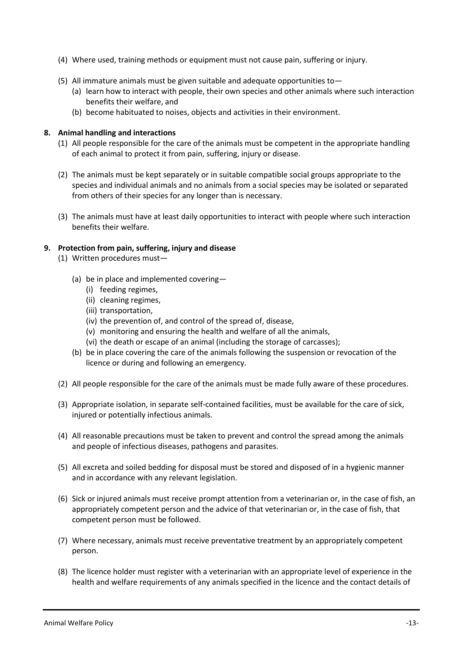- (4) Where used, training methods or equipment must not cause pain, suffering or injury.
- (5) All immature animals must be given suitable and adequate opportunities to—
	- (a) learn how to interact with people, their own species and other animals where such interaction benefits their welfare, and
	- (b) become habituated to noises, objects and activities in their environment.

#### **8. Animal handling and interactions**

- (1) All people responsible for the care of the animals must be competent in the appropriate handling of each animal to protect it from pain, suffering, injury or disease.
- (2) The animals must be kept separately or in suitable compatible social groups appropriate to the species and individual animals and no animals from a social species may be isolated or separated from others of their species for any longer than is necessary.
- (3) The animals must have at least daily opportunities to interact with people where such interaction benefits their welfare.

- (1) Written procedures must—
	- (a) be in place and implemented covering—
		- (i) feeding regimes,
		- (ii) cleaning regimes,
		- (iii) transportation,
		- (iv) the prevention of, and control of the spread of, disease,
		- (v) monitoring and ensuring the health and welfare of all the animals,
		- (vi) the death or escape of an animal (including the storage of carcasses);
	- (b) be in place covering the care of the animals following the suspension or revocation of the licence or during and following an emergency.
- (2) All people responsible for the care of the animals must be made fully aware of these procedures.
- (3) Appropriate isolation, in separate self-contained facilities, must be available for the care of sick, injured or potentially infectious animals.
- (4) All reasonable precautions must be taken to prevent and control the spread among the animals and people of infectious diseases, pathogens and parasites.
- (5) All excreta and soiled bedding for disposal must be stored and disposed of in a hygienic manner and in accordance with any relevant legislation.
- (6) Sick or injured animals must receive prompt attention from a veterinarian or, in the case of fish, an appropriately competent person and the advice of that veterinarian or, in the case of fish, that competent person must be followed.
- (7) Where necessary, animals must receive preventative treatment by an appropriately competent person.
- (8) The licence holder must register with a veterinarian with an appropriate level of experience in the health and welfare requirements of any animals specified in the licence and the contact details of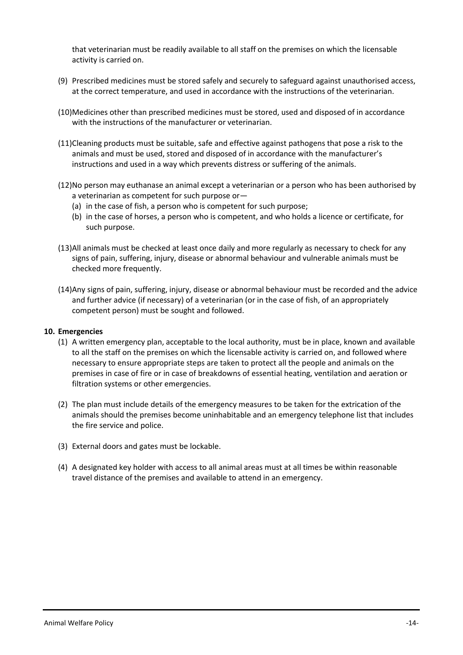that veterinarian must be readily available to all staff on the premises on which the licensable activity is carried on.

- (9) Prescribed medicines must be stored safely and securely to safeguard against unauthorised access, at the correct temperature, and used in accordance with the instructions of the veterinarian.
- (10)Medicines other than prescribed medicines must be stored, used and disposed of in accordance with the instructions of the manufacturer or veterinarian.
- (11)Cleaning products must be suitable, safe and effective against pathogens that pose a risk to the animals and must be used, stored and disposed of in accordance with the manufacturer's instructions and used in a way which prevents distress or suffering of the animals.
- (12)No person may euthanase an animal except a veterinarian or a person who has been authorised by a veterinarian as competent for such purpose or—
	- (a) in the case of fish, a person who is competent for such purpose;
	- (b) in the case of horses, a person who is competent, and who holds a licence or certificate, for such purpose.
- (13)All animals must be checked at least once daily and more regularly as necessary to check for any signs of pain, suffering, injury, disease or abnormal behaviour and vulnerable animals must be checked more frequently.
- (14)Any signs of pain, suffering, injury, disease or abnormal behaviour must be recorded and the advice and further advice (if necessary) of a veterinarian (or in the case of fish, of an appropriately competent person) must be sought and followed.

#### **10. Emergencies**

- (1) A written emergency plan, acceptable to the local authority, must be in place, known and available to all the staff on the premises on which the licensable activity is carried on, and followed where necessary to ensure appropriate steps are taken to protect all the people and animals on the premises in case of fire or in case of breakdowns of essential heating, ventilation and aeration or filtration systems or other emergencies.
- (2) The plan must include details of the emergency measures to be taken for the extrication of the animals should the premises become uninhabitable and an emergency telephone list that includes the fire service and police.
- (3) External doors and gates must be lockable.
- (4) A designated key holder with access to all animal areas must at all times be within reasonable travel distance of the premises and available to attend in an emergency.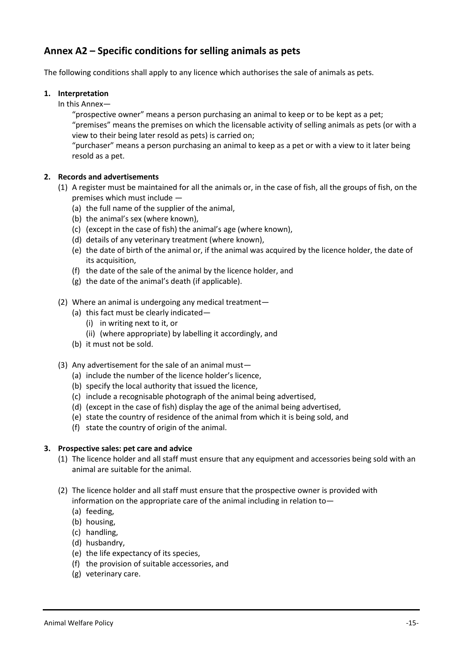# <span id="page-15-0"></span>**Annex A2 – Specific conditions for selling animals as pets**

The following conditions shall apply to any licence which authorises the sale of animals as pets.

#### **1. Interpretation**

In this Annex—

"prospective owner" means a person purchasing an animal to keep or to be kept as a pet;

"premises" means the premises on which the licensable activity of selling animals as pets (or with a view to their being later resold as pets) is carried on;

"purchaser" means a person purchasing an animal to keep as a pet or with a view to it later being resold as a pet.

#### **2. Records and advertisements**

- (1) A register must be maintained for all the animals or, in the case of fish, all the groups of fish, on the premises which must include —
	- (a) the full name of the supplier of the animal,
	- (b) the animal's sex (where known),
	- (c) (except in the case of fish) the animal's age (where known),
	- (d) details of any veterinary treatment (where known),
	- (e) the date of birth of the animal or, if the animal was acquired by the licence holder, the date of its acquisition,
	- (f) the date of the sale of the animal by the licence holder, and
	- (g) the date of the animal's death (if applicable).
- (2) Where an animal is undergoing any medical treatment—
	- (a) this fact must be clearly indicated—
		- (i) in writing next to it, or
		- (ii) (where appropriate) by labelling it accordingly, and
	- (b) it must not be sold.
- (3) Any advertisement for the sale of an animal must—
	- (a) include the number of the licence holder's licence,
	- (b) specify the local authority that issued the licence,
	- (c) include a recognisable photograph of the animal being advertised,
	- (d) (except in the case of fish) display the age of the animal being advertised,
	- (e) state the country of residence of the animal from which it is being sold, and
	- (f) state the country of origin of the animal.

#### **3. Prospective sales: pet care and advice**

- (1) The licence holder and all staff must ensure that any equipment and accessories being sold with an animal are suitable for the animal.
- (2) The licence holder and all staff must ensure that the prospective owner is provided with information on the appropriate care of the animal including in relation to—
	- (a) feeding,
	- (b) housing,
	- (c) handling,
	- (d) husbandry,
	- (e) the life expectancy of its species,
	- (f) the provision of suitable accessories, and
	- (g) veterinary care.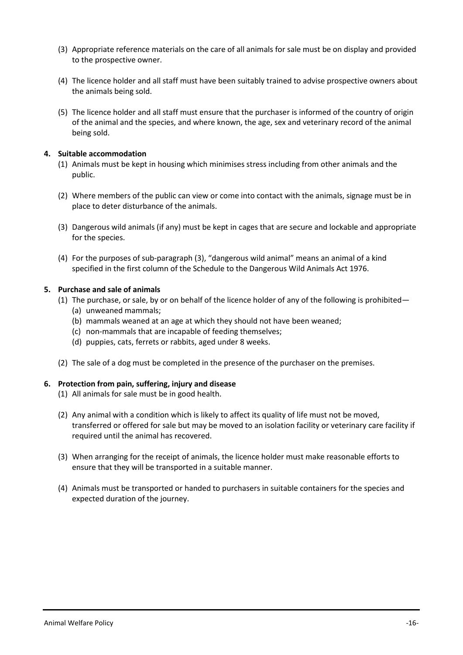- (3) Appropriate reference materials on the care of all animals for sale must be on display and provided to the prospective owner.
- (4) The licence holder and all staff must have been suitably trained to advise prospective owners about the animals being sold.
- (5) The licence holder and all staff must ensure that the purchaser is informed of the country of origin of the animal and the species, and where known, the age, sex and veterinary record of the animal being sold.

#### **4. Suitable accommodation**

- (1) Animals must be kept in housing which minimises stress including from other animals and the public.
- (2) Where members of the public can view or come into contact with the animals, signage must be in place to deter disturbance of the animals.
- (3) Dangerous wild animals (if any) must be kept in cages that are secure and lockable and appropriate for the species.
- (4) For the purposes of sub-paragraph (3), "dangerous wild animal" means an animal of a kind specified in the first column of the Schedule to the Dangerous Wild Animals Act 1976.

#### **5. Purchase and sale of animals**

- (1) The purchase, or sale, by or on behalf of the licence holder of any of the following is prohibited—
	- (a) unweaned mammals;
	- (b) mammals weaned at an age at which they should not have been weaned;
	- (c) non-mammals that are incapable of feeding themselves;
	- (d) puppies, cats, ferrets or rabbits, aged under 8 weeks.
- (2) The sale of a dog must be completed in the presence of the purchaser on the premises.

- (1) All animals for sale must be in good health.
- (2) Any animal with a condition which is likely to affect its quality of life must not be moved, transferred or offered for sale but may be moved to an isolation facility or veterinary care facility if required until the animal has recovered.
- (3) When arranging for the receipt of animals, the licence holder must make reasonable efforts to ensure that they will be transported in a suitable manner.
- (4) Animals must be transported or handed to purchasers in suitable containers for the species and expected duration of the journey.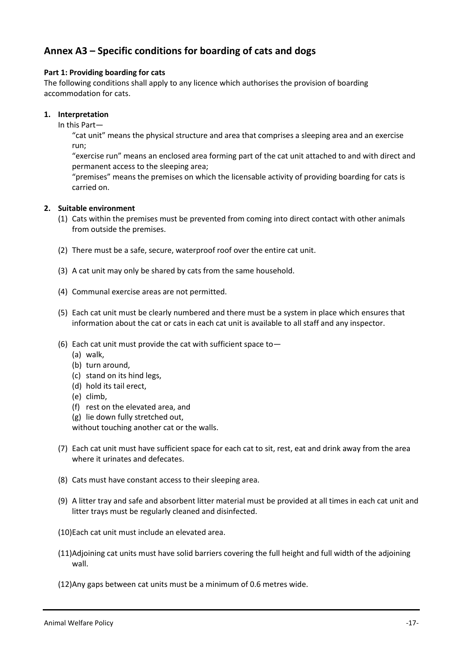# <span id="page-17-0"></span>**Annex A3 – Specific conditions for boarding of cats and dogs**

### **Part 1: Providing boarding for cats**

The following conditions shall apply to any licence which authorises the provision of boarding accommodation for cats.

#### **1. Interpretation**

In this Part—

"cat unit" means the physical structure and area that comprises a sleeping area and an exercise run;

"exercise run" means an enclosed area forming part of the cat unit attached to and with direct and permanent access to the sleeping area;

"premises" means the premises on which the licensable activity of providing boarding for cats is carried on.

#### **2. Suitable environment**

- (1) Cats within the premises must be prevented from coming into direct contact with other animals from outside the premises.
- (2) There must be a safe, secure, waterproof roof over the entire cat unit.
- (3) A cat unit may only be shared by cats from the same household.
- (4) Communal exercise areas are not permitted.
- (5) Each cat unit must be clearly numbered and there must be a system in place which ensures that information about the cat or cats in each cat unit is available to all staff and any inspector.
- (6) Each cat unit must provide the cat with sufficient space to—
	- (a) walk,
	- (b) turn around,
	- (c) stand on its hind legs,
	- (d) hold its tail erect,
	- (e) climb,
	- (f) rest on the elevated area, and
	- (g) lie down fully stretched out,

without touching another cat or the walls.

- (7) Each cat unit must have sufficient space for each cat to sit, rest, eat and drink away from the area where it urinates and defecates.
- (8) Cats must have constant access to their sleeping area.
- (9) A litter tray and safe and absorbent litter material must be provided at all times in each cat unit and litter trays must be regularly cleaned and disinfected.
- (10)Each cat unit must include an elevated area.
- (11)Adjoining cat units must have solid barriers covering the full height and full width of the adjoining wall.
- (12)Any gaps between cat units must be a minimum of 0.6 metres wide.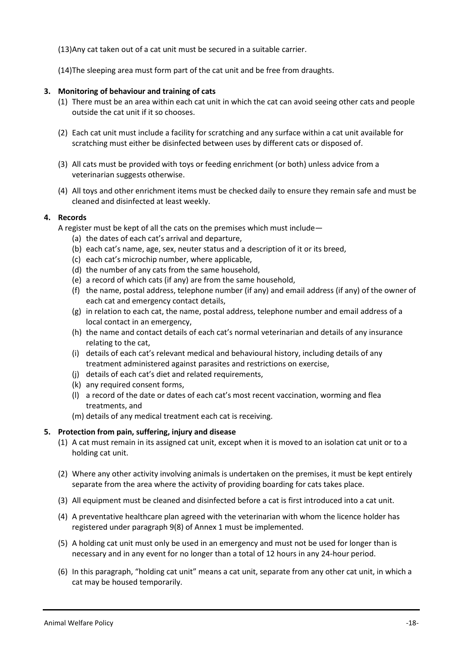(13)Any cat taken out of a cat unit must be secured in a suitable carrier.

(14)The sleeping area must form part of the cat unit and be free from draughts.

#### **3. Monitoring of behaviour and training of cats**

- (1) There must be an area within each cat unit in which the cat can avoid seeing other cats and people outside the cat unit if it so chooses.
- (2) Each cat unit must include a facility for scratching and any surface within a cat unit available for scratching must either be disinfected between uses by different cats or disposed of.
- (3) All cats must be provided with toys or feeding enrichment (or both) unless advice from a veterinarian suggests otherwise.
- (4) All toys and other enrichment items must be checked daily to ensure they remain safe and must be cleaned and disinfected at least weekly.

## **4. Records**

A register must be kept of all the cats on the premises which must include—

- (a) the dates of each cat's arrival and departure,
- (b) each cat's name, age, sex, neuter status and a description of it or its breed,
- (c) each cat's microchip number, where applicable,
- (d) the number of any cats from the same household,
- (e) a record of which cats (if any) are from the same household,
- (f) the name, postal address, telephone number (if any) and email address (if any) of the owner of each cat and emergency contact details,
- (g) in relation to each cat, the name, postal address, telephone number and email address of a local contact in an emergency,
- (h) the name and contact details of each cat's normal veterinarian and details of any insurance relating to the cat,
- (i) details of each cat's relevant medical and behavioural history, including details of any treatment administered against parasites and restrictions on exercise,
- (j) details of each cat's diet and related requirements,
- (k) any required consent forms,
- (l) a record of the date or dates of each cat's most recent vaccination, worming and flea treatments, and
- (m) details of any medical treatment each cat is receiving.

- (1) A cat must remain in its assigned cat unit, except when it is moved to an isolation cat unit or to a holding cat unit.
- (2) Where any other activity involving animals is undertaken on the premises, it must be kept entirely separate from the area where the activity of providing boarding for cats takes place.
- (3) All equipment must be cleaned and disinfected before a cat is first introduced into a cat unit.
- (4) A preventative healthcare plan agreed with the veterinarian with whom the licence holder has registered under paragraph 9(8) of Annex 1 must be implemented.
- (5) A holding cat unit must only be used in an emergency and must not be used for longer than is necessary and in any event for no longer than a total of 12 hours in any 24-hour period.
- (6) In this paragraph, "holding cat unit" means a cat unit, separate from any other cat unit, in which a cat may be housed temporarily.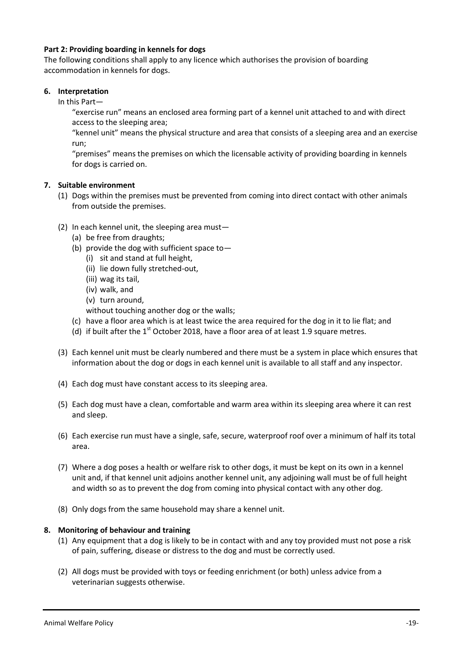#### **Part 2: Providing boarding in kennels for dogs**

The following conditions shall apply to any licence which authorises the provision of boarding accommodation in kennels for dogs.

#### **6. Interpretation**

In this Part—

"exercise run" means an enclosed area forming part of a kennel unit attached to and with direct access to the sleeping area;

"kennel unit" means the physical structure and area that consists of a sleeping area and an exercise run;

"premises" means the premises on which the licensable activity of providing boarding in kennels for dogs is carried on.

#### **7. Suitable environment**

- (1) Dogs within the premises must be prevented from coming into direct contact with other animals from outside the premises.
- (2) In each kennel unit, the sleeping area must—
	- (a) be free from draughts;
	- (b) provide the dog with sufficient space to  $-$ 
		- (i) sit and stand at full height,
		- (ii) lie down fully stretched-out,
		- (iii) wag its tail,
		- (iv) walk, and
		- (v) turn around,

without touching another dog or the walls;

- (c) have a floor area which is at least twice the area required for the dog in it to lie flat; and
- (d) if built after the  $1<sup>st</sup>$  October 2018, have a floor area of at least 1.9 square metres.
- (3) Each kennel unit must be clearly numbered and there must be a system in place which ensures that information about the dog or dogs in each kennel unit is available to all staff and any inspector.
- (4) Each dog must have constant access to its sleeping area.
- (5) Each dog must have a clean, comfortable and warm area within its sleeping area where it can rest and sleep.
- (6) Each exercise run must have a single, safe, secure, waterproof roof over a minimum of half its total area.
- (7) Where a dog poses a health or welfare risk to other dogs, it must be kept on its own in a kennel unit and, if that kennel unit adjoins another kennel unit, any adjoining wall must be of full height and width so as to prevent the dog from coming into physical contact with any other dog.
- (8) Only dogs from the same household may share a kennel unit.

#### **8. Monitoring of behaviour and training**

- (1) Any equipment that a dog is likely to be in contact with and any toy provided must not pose a risk of pain, suffering, disease or distress to the dog and must be correctly used.
- (2) All dogs must be provided with toys or feeding enrichment (or both) unless advice from a veterinarian suggests otherwise.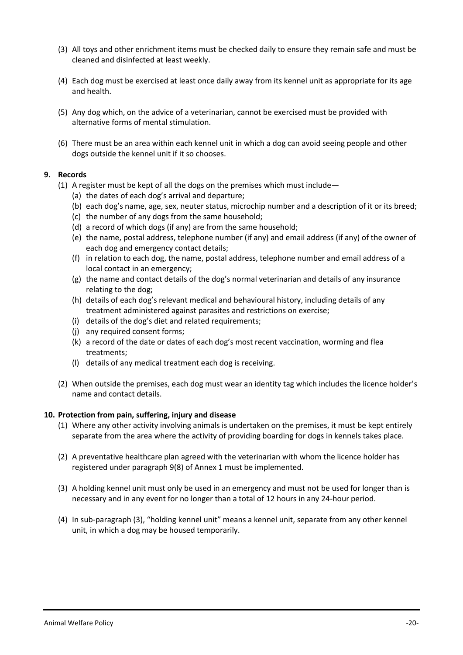- (3) All toys and other enrichment items must be checked daily to ensure they remain safe and must be cleaned and disinfected at least weekly.
- (4) Each dog must be exercised at least once daily away from its kennel unit as appropriate for its age and health.
- (5) Any dog which, on the advice of a veterinarian, cannot be exercised must be provided with alternative forms of mental stimulation.
- (6) There must be an area within each kennel unit in which a dog can avoid seeing people and other dogs outside the kennel unit if it so chooses.

#### **9. Records**

- (1) A register must be kept of all the dogs on the premises which must include—
	- (a) the dates of each dog's arrival and departure;
	- (b) each dog's name, age, sex, neuter status, microchip number and a description of it or its breed;
	- (c) the number of any dogs from the same household;
	- (d) a record of which dogs (if any) are from the same household;
	- (e) the name, postal address, telephone number (if any) and email address (if any) of the owner of each dog and emergency contact details;
	- (f) in relation to each dog, the name, postal address, telephone number and email address of a local contact in an emergency;
	- (g) the name and contact details of the dog's normal veterinarian and details of any insurance relating to the dog;
	- (h) details of each dog's relevant medical and behavioural history, including details of any treatment administered against parasites and restrictions on exercise;
	- (i) details of the dog's diet and related requirements;
	- (j) any required consent forms;
	- (k) a record of the date or dates of each dog's most recent vaccination, worming and flea treatments;
	- (l) details of any medical treatment each dog is receiving.
- (2) When outside the premises, each dog must wear an identity tag which includes the licence holder's name and contact details.

- (1) Where any other activity involving animals is undertaken on the premises, it must be kept entirely separate from the area where the activity of providing boarding for dogs in kennels takes place.
- (2) A preventative healthcare plan agreed with the veterinarian with whom the licence holder has registered under paragraph 9(8) of Annex 1 must be implemented.
- (3) A holding kennel unit must only be used in an emergency and must not be used for longer than is necessary and in any event for no longer than a total of 12 hours in any 24-hour period.
- (4) In sub-paragraph (3), "holding kennel unit" means a kennel unit, separate from any other kennel unit, in which a dog may be housed temporarily.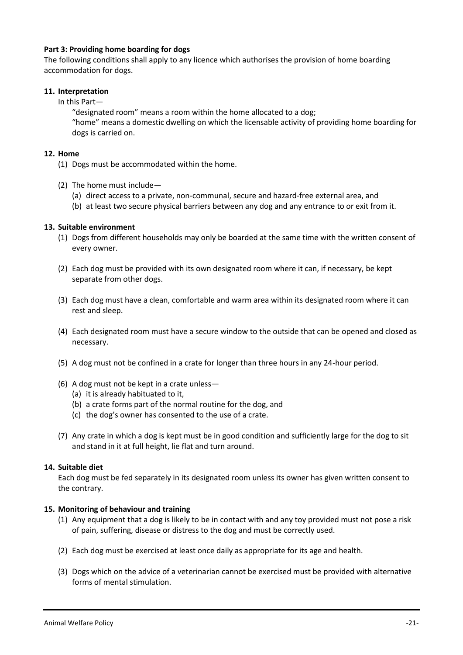#### **Part 3: Providing home boarding for dogs**

The following conditions shall apply to any licence which authorises the provision of home boarding accommodation for dogs.

#### **11. Interpretation**

In this Part—

"designated room" means a room within the home allocated to a dog; "home" means a domestic dwelling on which the licensable activity of providing home boarding for dogs is carried on.

#### **12. Home**

- (1) Dogs must be accommodated within the home.
- (2) The home must include—
	- (a) direct access to a private, non-communal, secure and hazard-free external area, and
	- (b) at least two secure physical barriers between any dog and any entrance to or exit from it.

#### **13. Suitable environment**

- (1) Dogs from different households may only be boarded at the same time with the written consent of every owner.
- (2) Each dog must be provided with its own designated room where it can, if necessary, be kept separate from other dogs.
- (3) Each dog must have a clean, comfortable and warm area within its designated room where it can rest and sleep.
- (4) Each designated room must have a secure window to the outside that can be opened and closed as necessary.
- (5) A dog must not be confined in a crate for longer than three hours in any 24-hour period.
- (6) A dog must not be kept in a crate unless—
	- (a) it is already habituated to it,
	- (b) a crate forms part of the normal routine for the dog, and
	- (c) the dog's owner has consented to the use of a crate.
- (7) Any crate in which a dog is kept must be in good condition and sufficiently large for the dog to sit and stand in it at full height, lie flat and turn around.

#### **14. Suitable diet**

Each dog must be fed separately in its designated room unless its owner has given written consent to the contrary.

#### **15. Monitoring of behaviour and training**

- (1) Any equipment that a dog is likely to be in contact with and any toy provided must not pose a risk of pain, suffering, disease or distress to the dog and must be correctly used.
- (2) Each dog must be exercised at least once daily as appropriate for its age and health.
- (3) Dogs which on the advice of a veterinarian cannot be exercised must be provided with alternative forms of mental stimulation.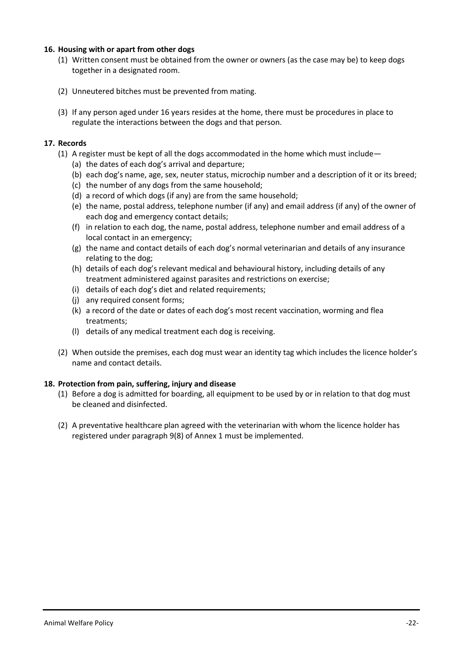#### **16. Housing with or apart from other dogs**

- (1) Written consent must be obtained from the owner or owners (as the case may be) to keep dogs together in a designated room.
- (2) Unneutered bitches must be prevented from mating.
- (3) If any person aged under 16 years resides at the home, there must be procedures in place to regulate the interactions between the dogs and that person.

#### **17. Records**

- (1) A register must be kept of all the dogs accommodated in the home which must include—
	- (a) the dates of each dog's arrival and departure;
	- (b) each dog's name, age, sex, neuter status, microchip number and a description of it or its breed;
	- (c) the number of any dogs from the same household;
	- (d) a record of which dogs (if any) are from the same household;
	- (e) the name, postal address, telephone number (if any) and email address (if any) of the owner of each dog and emergency contact details;
	- (f) in relation to each dog, the name, postal address, telephone number and email address of a local contact in an emergency;
	- (g) the name and contact details of each dog's normal veterinarian and details of any insurance relating to the dog;
	- (h) details of each dog's relevant medical and behavioural history, including details of any treatment administered against parasites and restrictions on exercise;
	- (i) details of each dog's diet and related requirements;
	- (j) any required consent forms;
	- (k) a record of the date or dates of each dog's most recent vaccination, worming and flea treatments;
	- (l) details of any medical treatment each dog is receiving.
- (2) When outside the premises, each dog must wear an identity tag which includes the licence holder's name and contact details.

- (1) Before a dog is admitted for boarding, all equipment to be used by or in relation to that dog must be cleaned and disinfected.
- (2) A preventative healthcare plan agreed with the veterinarian with whom the licence holder has registered under paragraph 9(8) of Annex 1 must be implemented.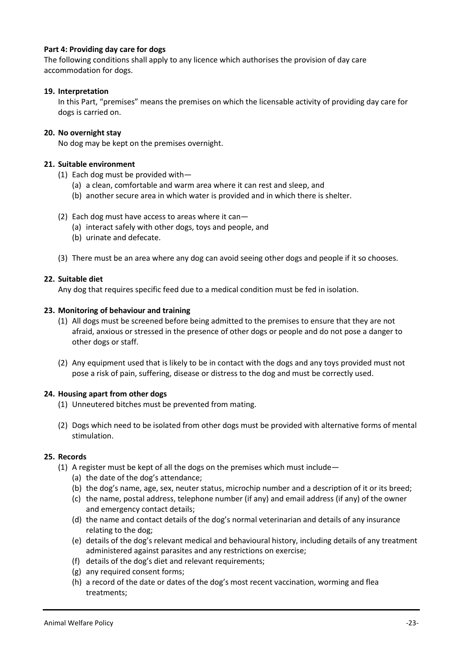#### **Part 4: Providing day care for dogs**

The following conditions shall apply to any licence which authorises the provision of day care accommodation for dogs.

#### **19. Interpretation**

In this Part, "premises" means the premises on which the licensable activity of providing day care for dogs is carried on.

#### **20. No overnight stay**

No dog may be kept on the premises overnight.

#### **21. Suitable environment**

- (1) Each dog must be provided with—
	- (a) a clean, comfortable and warm area where it can rest and sleep, and
	- (b) another secure area in which water is provided and in which there is shelter.
- (2) Each dog must have access to areas where it can—
	- (a) interact safely with other dogs, toys and people, and
	- (b) urinate and defecate.
- (3) There must be an area where any dog can avoid seeing other dogs and people if it so chooses.

#### **22. Suitable diet**

Any dog that requires specific feed due to a medical condition must be fed in isolation.

#### **23. Monitoring of behaviour and training**

- (1) All dogs must be screened before being admitted to the premises to ensure that they are not afraid, anxious or stressed in the presence of other dogs or people and do not pose a danger to other dogs or staff.
- (2) Any equipment used that is likely to be in contact with the dogs and any toys provided must not pose a risk of pain, suffering, disease or distress to the dog and must be correctly used.

#### **24. Housing apart from other dogs**

- (1) Unneutered bitches must be prevented from mating.
- (2) Dogs which need to be isolated from other dogs must be provided with alternative forms of mental stimulation.

#### **25. Records**

- (1) A register must be kept of all the dogs on the premises which must include—
	- (a) the date of the dog's attendance;
	- (b) the dog's name, age, sex, neuter status, microchip number and a description of it or its breed;
	- (c) the name, postal address, telephone number (if any) and email address (if any) of the owner and emergency contact details;
	- (d) the name and contact details of the dog's normal veterinarian and details of any insurance relating to the dog;
	- (e) details of the dog's relevant medical and behavioural history, including details of any treatment administered against parasites and any restrictions on exercise;
	- (f) details of the dog's diet and relevant requirements;
	- (g) any required consent forms;
	- (h) a record of the date or dates of the dog's most recent vaccination, worming and flea treatments;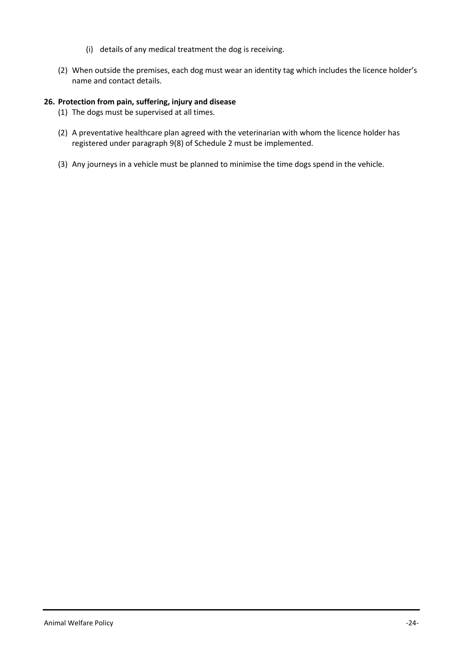- (i) details of any medical treatment the dog is receiving.
- (2) When outside the premises, each dog must wear an identity tag which includes the licence holder's name and contact details.

- (1) The dogs must be supervised at all times.
- (2) A preventative healthcare plan agreed with the veterinarian with whom the licence holder has registered under paragraph 9(8) of Schedule 2 must be implemented.
- (3) Any journeys in a vehicle must be planned to minimise the time dogs spend in the vehicle.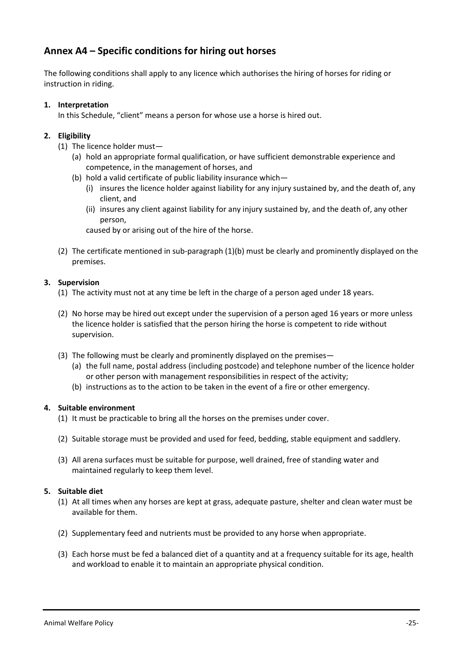# <span id="page-25-0"></span>**Annex A4 – Specific conditions for hiring out horses**

The following conditions shall apply to any licence which authorises the hiring of horses for riding or instruction in riding.

## **1. Interpretation**

In this Schedule, "client" means a person for whose use a horse is hired out.

## **2. Eligibility**

- (1) The licence holder must—
	- (a) hold an appropriate formal qualification, or have sufficient demonstrable experience and competence, in the management of horses, and
	- (b) hold a valid certificate of public liability insurance which—
		- (i) insures the licence holder against liability for any injury sustained by, and the death of, any client, and
		- (ii) insures any client against liability for any injury sustained by, and the death of, any other person,

caused by or arising out of the hire of the horse.

(2) The certificate mentioned in sub-paragraph (1)(b) must be clearly and prominently displayed on the premises.

## **3. Supervision**

- (1) The activity must not at any time be left in the charge of a person aged under 18 years.
- (2) No horse may be hired out except under the supervision of a person aged 16 years or more unless the licence holder is satisfied that the person hiring the horse is competent to ride without supervision.
- (3) The following must be clearly and prominently displayed on the premises—
	- (a) the full name, postal address (including postcode) and telephone number of the licence holder or other person with management responsibilities in respect of the activity;
	- (b) instructions as to the action to be taken in the event of a fire or other emergency.

## **4. Suitable environment**

- (1) It must be practicable to bring all the horses on the premises under cover.
- (2) Suitable storage must be provided and used for feed, bedding, stable equipment and saddlery.
- (3) All arena surfaces must be suitable for purpose, well drained, free of standing water and maintained regularly to keep them level.

## **5. Suitable diet**

- (1) At all times when any horses are kept at grass, adequate pasture, shelter and clean water must be available for them.
- (2) Supplementary feed and nutrients must be provided to any horse when appropriate.
- (3) Each horse must be fed a balanced diet of a quantity and at a frequency suitable for its age, health and workload to enable it to maintain an appropriate physical condition.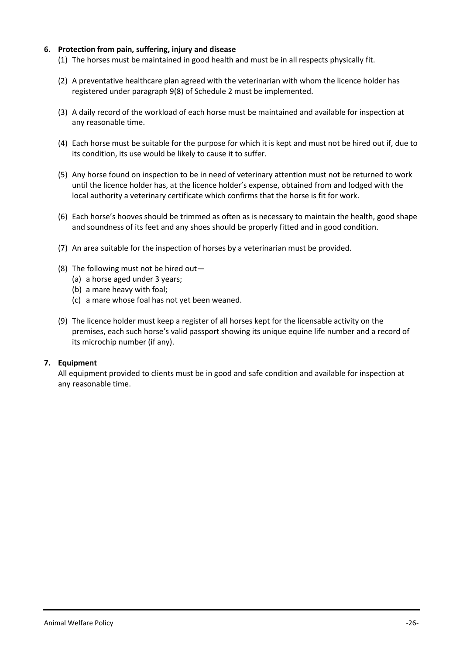#### **6. Protection from pain, suffering, injury and disease**

- (1) The horses must be maintained in good health and must be in all respects physically fit.
- (2) A preventative healthcare plan agreed with the veterinarian with whom the licence holder has registered under paragraph 9(8) of Schedule 2 must be implemented.
- (3) A daily record of the workload of each horse must be maintained and available for inspection at any reasonable time.
- (4) Each horse must be suitable for the purpose for which it is kept and must not be hired out if, due to its condition, its use would be likely to cause it to suffer.
- (5) Any horse found on inspection to be in need of veterinary attention must not be returned to work until the licence holder has, at the licence holder's expense, obtained from and lodged with the local authority a veterinary certificate which confirms that the horse is fit for work.
- (6) Each horse's hooves should be trimmed as often as is necessary to maintain the health, good shape and soundness of its feet and any shoes should be properly fitted and in good condition.
- (7) An area suitable for the inspection of horses by a veterinarian must be provided.
- (8) The following must not be hired out—
	- (a) a horse aged under 3 years;
	- (b) a mare heavy with foal;
	- (c) a mare whose foal has not yet been weaned.
- (9) The licence holder must keep a register of all horses kept for the licensable activity on the premises, each such horse's valid passport showing its unique equine life number and a record of its microchip number (if any).

#### **7. Equipment**

All equipment provided to clients must be in good and safe condition and available for inspection at any reasonable time.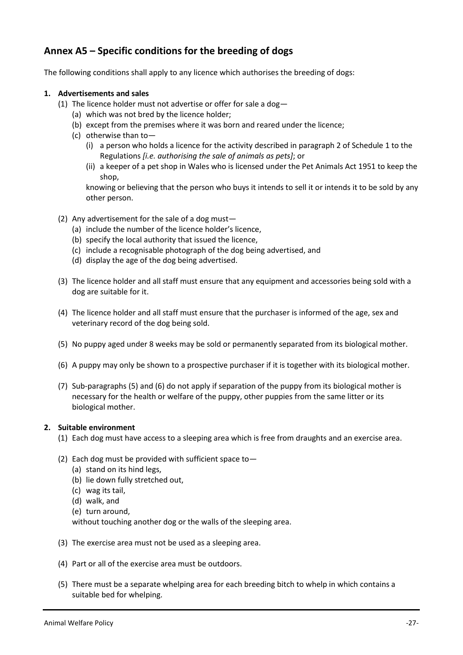# <span id="page-27-0"></span>**Annex A5 – Specific conditions for the breeding of dogs**

The following conditions shall apply to any licence which authorises the breeding of dogs:

#### **1. Advertisements and sales**

- (1) The licence holder must not advertise or offer for sale a dog—
	- (a) which was not bred by the licence holder;
	- (b) except from the premises where it was born and reared under the licence;
	- (c) otherwise than to—
		- (i) a person who holds a licence for the activity described in paragraph 2 of Schedule 1 to the Regulations *[i.e. authorising the sale of animals as pets]*; or
		- (ii) a keeper of a pet shop in Wales who is licensed under the Pet Animals Act 1951 to keep the shop,

knowing or believing that the person who buys it intends to sell it or intends it to be sold by any other person.

- (2) Any advertisement for the sale of a dog must—
	- (a) include the number of the licence holder's licence,
	- (b) specify the local authority that issued the licence,
	- (c) include a recognisable photograph of the dog being advertised, and
	- (d) display the age of the dog being advertised.
- (3) The licence holder and all staff must ensure that any equipment and accessories being sold with a dog are suitable for it.
- (4) The licence holder and all staff must ensure that the purchaser is informed of the age, sex and veterinary record of the dog being sold.
- (5) No puppy aged under 8 weeks may be sold or permanently separated from its biological mother.
- (6) A puppy may only be shown to a prospective purchaser if it is together with its biological mother.
- (7) Sub-paragraphs (5) and (6) do not apply if separation of the puppy from its biological mother is necessary for the health or welfare of the puppy, other puppies from the same litter or its biological mother.

#### **2. Suitable environment**

- (1) Each dog must have access to a sleeping area which is free from draughts and an exercise area.
- (2) Each dog must be provided with sufficient space to—
	- (a) stand on its hind legs,
	- (b) lie down fully stretched out,
	- (c) wag its tail,
	- (d) walk, and
	- (e) turn around,

without touching another dog or the walls of the sleeping area.

- (3) The exercise area must not be used as a sleeping area.
- (4) Part or all of the exercise area must be outdoors.
- (5) There must be a separate whelping area for each breeding bitch to whelp in which contains a suitable bed for whelping.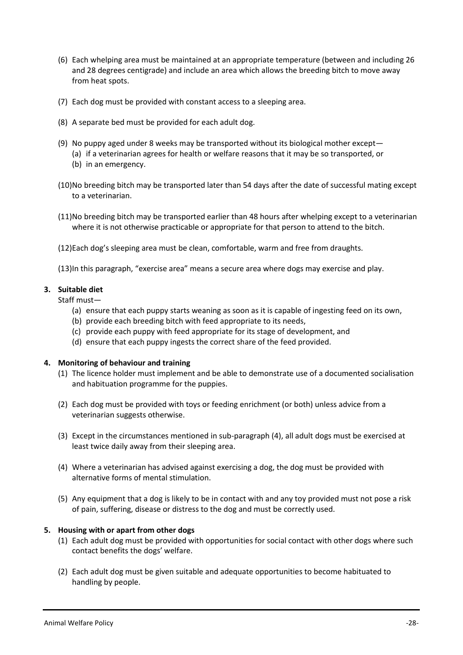- (6) Each whelping area must be maintained at an appropriate temperature (between and including 26 and 28 degrees centigrade) and include an area which allows the breeding bitch to move away from heat spots.
- (7) Each dog must be provided with constant access to a sleeping area.
- (8) A separate bed must be provided for each adult dog.
- (9) No puppy aged under 8 weeks may be transported without its biological mother except— (a) if a veterinarian agrees for health or welfare reasons that it may be so transported, or
	- (b) in an emergency.
- (10)No breeding bitch may be transported later than 54 days after the date of successful mating except to a veterinarian.
- (11)No breeding bitch may be transported earlier than 48 hours after whelping except to a veterinarian where it is not otherwise practicable or appropriate for that person to attend to the bitch.
- (12)Each dog's sleeping area must be clean, comfortable, warm and free from draughts.
- (13)In this paragraph, "exercise area" means a secure area where dogs may exercise and play.

#### **3. Suitable diet**

Staff must—

- (a) ensure that each puppy starts weaning as soon as it is capable of ingesting feed on its own,
- (b) provide each breeding bitch with feed appropriate to its needs,
- (c) provide each puppy with feed appropriate for its stage of development, and
- (d) ensure that each puppy ingests the correct share of the feed provided.

#### **4. Monitoring of behaviour and training**

- (1) The licence holder must implement and be able to demonstrate use of a documented socialisation and habituation programme for the puppies.
- (2) Each dog must be provided with toys or feeding enrichment (or both) unless advice from a veterinarian suggests otherwise.
- (3) Except in the circumstances mentioned in sub-paragraph (4), all adult dogs must be exercised at least twice daily away from their sleeping area.
- (4) Where a veterinarian has advised against exercising a dog, the dog must be provided with alternative forms of mental stimulation.
- (5) Any equipment that a dog is likely to be in contact with and any toy provided must not pose a risk of pain, suffering, disease or distress to the dog and must be correctly used.

## **5. Housing with or apart from other dogs**

- (1) Each adult dog must be provided with opportunities for social contact with other dogs where such contact benefits the dogs' welfare.
- (2) Each adult dog must be given suitable and adequate opportunities to become habituated to handling by people.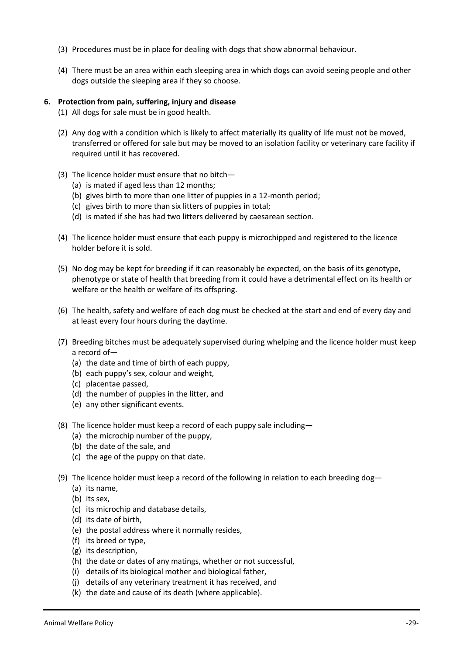- (3) Procedures must be in place for dealing with dogs that show abnormal behaviour.
- (4) There must be an area within each sleeping area in which dogs can avoid seeing people and other dogs outside the sleeping area if they so choose.

- (1) All dogs for sale must be in good health.
- (2) Any dog with a condition which is likely to affect materially its quality of life must not be moved, transferred or offered for sale but may be moved to an isolation facility or veterinary care facility if required until it has recovered.
- (3) The licence holder must ensure that no bitch—
	- (a) is mated if aged less than 12 months;
	- (b) gives birth to more than one litter of puppies in a 12-month period;
	- (c) gives birth to more than six litters of puppies in total;
	- (d) is mated if she has had two litters delivered by caesarean section.
- (4) The licence holder must ensure that each puppy is microchipped and registered to the licence holder before it is sold.
- (5) No dog may be kept for breeding if it can reasonably be expected, on the basis of its genotype, phenotype or state of health that breeding from it could have a detrimental effect on its health or welfare or the health or welfare of its offspring.
- (6) The health, safety and welfare of each dog must be checked at the start and end of every day and at least every four hours during the daytime.
- (7) Breeding bitches must be adequately supervised during whelping and the licence holder must keep a record of—
	- (a) the date and time of birth of each puppy,
	- (b) each puppy's sex, colour and weight,
	- (c) placentae passed,
	- (d) the number of puppies in the litter, and
	- (e) any other significant events.
- (8) The licence holder must keep a record of each puppy sale including—
	- (a) the microchip number of the puppy,
	- (b) the date of the sale, and
	- (c) the age of the puppy on that date.
- (9) The licence holder must keep a record of the following in relation to each breeding dog—
	- (a) its name,
	- (b) its sex,
	- (c) its microchip and database details,
	- (d) its date of birth,
	- (e) the postal address where it normally resides,
	- (f) its breed or type,
	- (g) its description,
	- (h) the date or dates of any matings, whether or not successful,
	- (i) details of its biological mother and biological father,
	- (j) details of any veterinary treatment it has received, and
	- (k) the date and cause of its death (where applicable).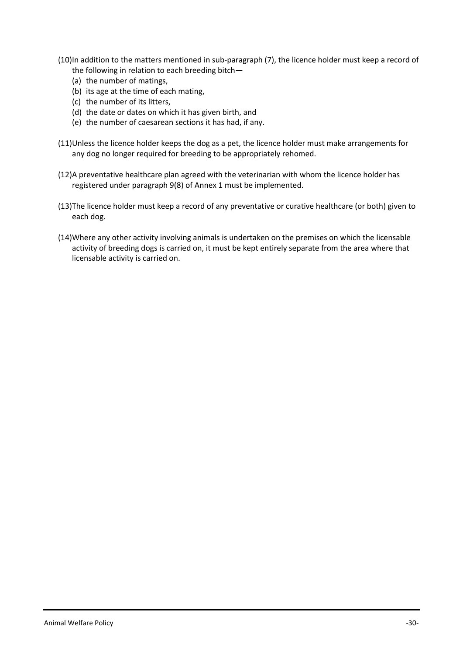- (10)In addition to the matters mentioned in sub-paragraph (7), the licence holder must keep a record of the following in relation to each breeding bitch—
	- (a) the number of matings,
	- (b) its age at the time of each mating,
	- (c) the number of its litters,
	- (d) the date or dates on which it has given birth, and
	- (e) the number of caesarean sections it has had, if any.
- (11)Unless the licence holder keeps the dog as a pet, the licence holder must make arrangements for any dog no longer required for breeding to be appropriately rehomed.
- (12)A preventative healthcare plan agreed with the veterinarian with whom the licence holder has registered under paragraph 9(8) of Annex 1 must be implemented.
- (13)The licence holder must keep a record of any preventative or curative healthcare (or both) given to each dog.
- (14)Where any other activity involving animals is undertaken on the premises on which the licensable activity of breeding dogs is carried on, it must be kept entirely separate from the area where that licensable activity is carried on.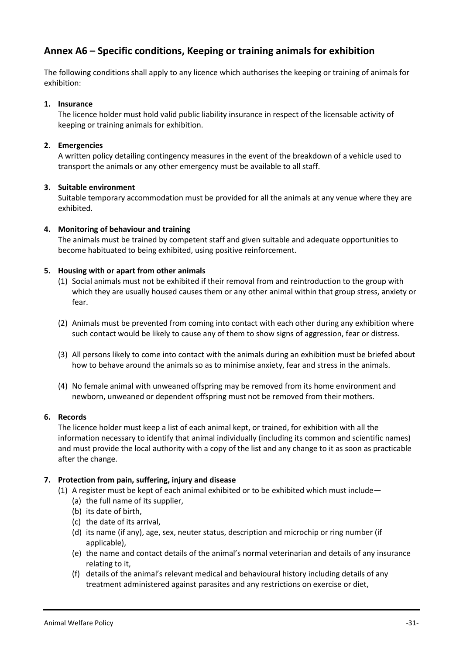# <span id="page-31-0"></span>**Annex A6 – Specific conditions, Keeping or training animals for exhibition**

The following conditions shall apply to any licence which authorises the keeping or training of animals for exhibition:

### **1. Insurance**

The licence holder must hold valid public liability insurance in respect of the licensable activity of keeping or training animals for exhibition.

#### **2. Emergencies**

A written policy detailing contingency measures in the event of the breakdown of a vehicle used to transport the animals or any other emergency must be available to all staff.

#### **3. Suitable environment**

Suitable temporary accommodation must be provided for all the animals at any venue where they are exhibited.

#### **4. Monitoring of behaviour and training**

The animals must be trained by competent staff and given suitable and adequate opportunities to become habituated to being exhibited, using positive reinforcement.

#### **5. Housing with or apart from other animals**

- (1) Social animals must not be exhibited if their removal from and reintroduction to the group with which they are usually housed causes them or any other animal within that group stress, anxiety or fear.
- (2) Animals must be prevented from coming into contact with each other during any exhibition where such contact would be likely to cause any of them to show signs of aggression, fear or distress.
- (3) All persons likely to come into contact with the animals during an exhibition must be briefed about how to behave around the animals so as to minimise anxiety, fear and stress in the animals.
- (4) No female animal with unweaned offspring may be removed from its home environment and newborn, unweaned or dependent offspring must not be removed from their mothers.

#### **6. Records**

The licence holder must keep a list of each animal kept, or trained, for exhibition with all the information necessary to identify that animal individually (including its common and scientific names) and must provide the local authority with a copy of the list and any change to it as soon as practicable after the change.

- (1) A register must be kept of each animal exhibited or to be exhibited which must include—
	- (a) the full name of its supplier,
	- (b) its date of birth,
	- (c) the date of its arrival,
	- (d) its name (if any), age, sex, neuter status, description and microchip or ring number (if applicable),
	- (e) the name and contact details of the animal's normal veterinarian and details of any insurance relating to it,
	- (f) details of the animal's relevant medical and behavioural history including details of any treatment administered against parasites and any restrictions on exercise or diet,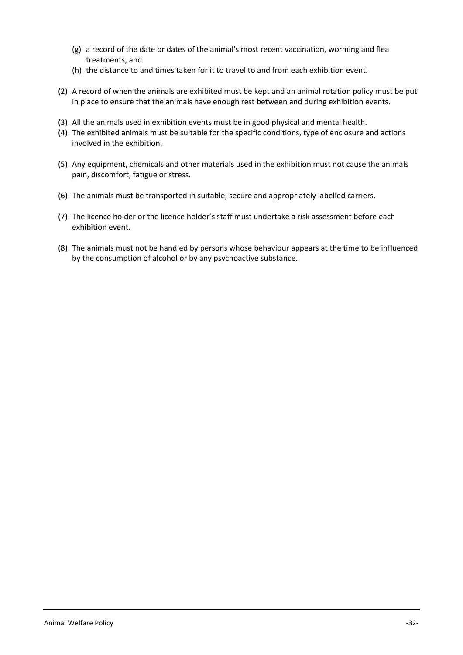- (g) a record of the date or dates of the animal's most recent vaccination, worming and flea treatments, and
- (h) the distance to and times taken for it to travel to and from each exhibition event.
- (2) A record of when the animals are exhibited must be kept and an animal rotation policy must be put in place to ensure that the animals have enough rest between and during exhibition events.
- (3) All the animals used in exhibition events must be in good physical and mental health.
- (4) The exhibited animals must be suitable for the specific conditions, type of enclosure and actions involved in the exhibition.
- (5) Any equipment, chemicals and other materials used in the exhibition must not cause the animals pain, discomfort, fatigue or stress.
- (6) The animals must be transported in suitable, secure and appropriately labelled carriers.
- (7) The licence holder or the licence holder's staff must undertake a risk assessment before each exhibition event.
- (8) The animals must not be handled by persons whose behaviour appears at the time to be influenced by the consumption of alcohol or by any psychoactive substance.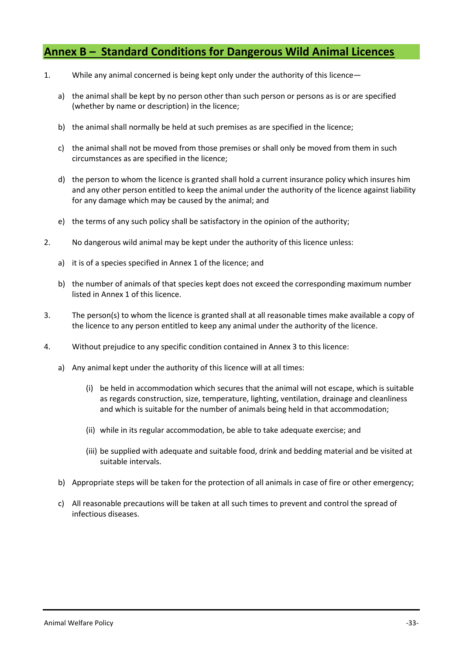# <span id="page-33-0"></span>**Annex B – Standard Conditions for Dangerous Wild Animal Licences**

- 1. While any animal concerned is being kept only under the authority of this licence
	- a) the animal shall be kept by no person other than such person or persons as is or are specified (whether by name or description) in the licence;
	- b) the animal shall normally be held at such premises as are specified in the licence;
	- c) the animal shall not be moved from those premises or shall only be moved from them in such circumstances as are specified in the licence;
	- d) the person to whom the licence is granted shall hold a current insurance policy which insures him and any other person entitled to keep the animal under the authority of the licence against liability for any damage which may be caused by the animal; and
	- e) the terms of any such policy shall be satisfactory in the opinion of the authority;
- 2. No dangerous wild animal may be kept under the authority of this licence unless:
	- a) it is of a species specified in Annex 1 of the licence; and
	- b) the number of animals of that species kept does not exceed the corresponding maximum number listed in Annex 1 of this licence.
- 3. The person(s) to whom the licence is granted shall at all reasonable times make available a copy of the licence to any person entitled to keep any animal under the authority of the licence.
- 4. Without prejudice to any specific condition contained in Annex 3 to this licence:
	- a) Any animal kept under the authority of this licence will at all times:
		- (i) be held in accommodation which secures that the animal will not escape, which is suitable as regards construction, size, temperature, lighting, ventilation, drainage and cleanliness and which is suitable for the number of animals being held in that accommodation;
		- (ii) while in its regular accommodation, be able to take adequate exercise; and
		- (iii) be supplied with adequate and suitable food, drink and bedding material and be visited at suitable intervals.
	- b) Appropriate steps will be taken for the protection of all animals in case of fire or other emergency;
	- c) All reasonable precautions will be taken at all such times to prevent and control the spread of infectious diseases.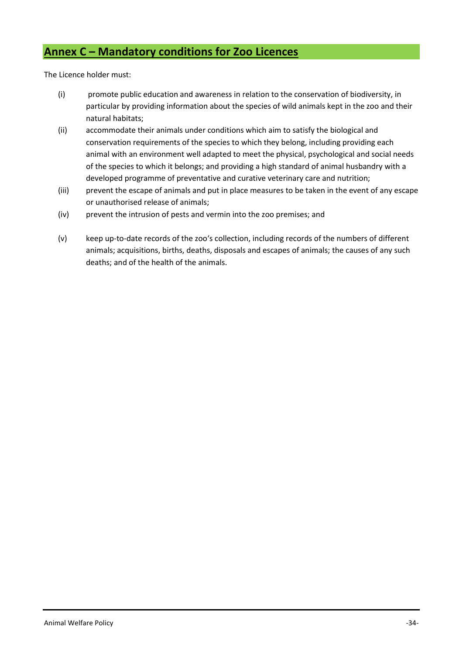# <span id="page-34-0"></span>**Annex C – Mandatory conditions for Zoo Licences**

The Licence holder must:

- (i) promote public education and awareness in relation to the conservation of biodiversity, in particular by providing information about the species of wild animals kept in the zoo and their natural habitats;
- (ii) accommodate their animals under conditions which aim to satisfy the biological and conservation requirements of the species to which they belong, including providing each animal with an environment well adapted to meet the physical, psychological and social needs of the species to which it belongs; and providing a high standard of animal husbandry with a developed programme of preventative and curative veterinary care and nutrition;
- (iii) prevent the escape of animals and put in place measures to be taken in the event of any escape or unauthorised release of animals;
- (iv) prevent the intrusion of pests and vermin into the zoo premises; and
- (v) keep up-to-date records of the zoo's collection, including records of the numbers of different animals; acquisitions, births, deaths, disposals and escapes of animals; the causes of any such deaths; and of the health of the animals.